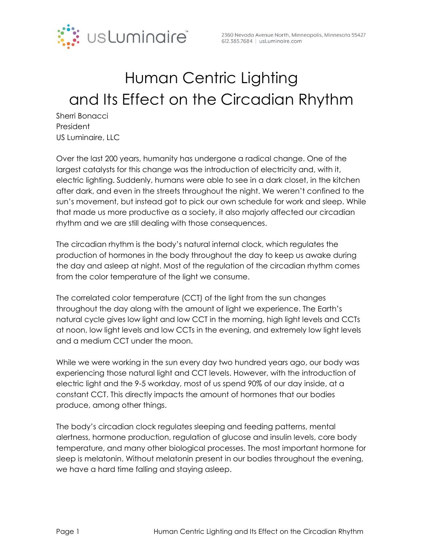

## Human Centric Lighting and Its Effect on the Circadian Rhythm

Sherri Bonacci President US Luminaire, LLC

Over the last 200 years, humanity has undergone a radical change. One of the largest catalysts for this change was the introduction of electricity and, with it, electric lighting. Suddenly, humans were able to see in a dark closet, in the kitchen after dark, and even in the streets throughout the night. We weren't confined to the sun's movement, but instead got to pick our own schedule for work and sleep. While that made us more productive as a society, it also majorly affected our circadian rhythm and we are still dealing with those consequences.

The circadian rhythm is the body's natural internal clock, which regulates the production of hormones in the body throughout the day to keep us awake during the day and asleep at night. Most of the regulation of the circadian rhythm comes from the color temperature of the light we consume.

The correlated color temperature (CCT) of the light from the sun changes throughout the day along with the amount of light we experience. The Earth's natural cycle gives low light and low CCT in the morning, high light levels and CCTs at noon, low light levels and low CCTs in the evening, and extremely low light levels and a medium CCT under the moon.

While we were working in the sun every day two hundred years ago, our body was experiencing those natural light and CCT levels. However, with the introduction of electric light and the 9-5 workday, most of us spend 90% of our day inside, at a constant CCT. This directly impacts the amount of hormones that our bodies produce, among other things.

The body's circadian clock regulates sleeping and feeding patterns, mental alertness, hormone production, regulation of glucose and insulin levels, core body temperature, and many other biological processes. The most important hormone for sleep is melatonin. Without melatonin present in our bodies throughout the evening, we have a hard time falling and staying asleep.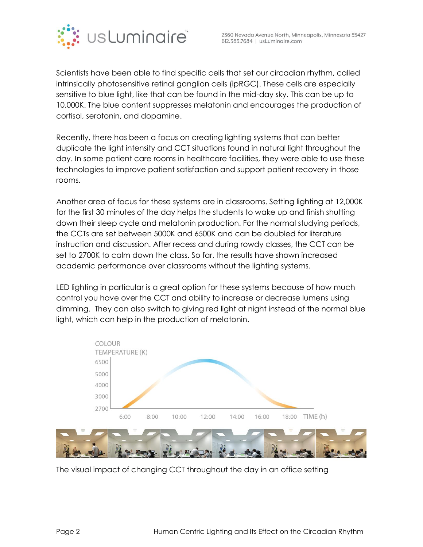

Scientists have been able to find specific cells that set our circadian rhythm, called intrinsically photosensitive retinal ganglion cells (ipRGC). These cells are especially sensitive to blue light, like that can be found in the mid-day sky. This can be up to 10,000K. The blue content suppresses melatonin and encourages the production of cortisol, serotonin, and dopamine.

Recently, there has been a focus on creating lighting systems that can better duplicate the light intensity and CCT situations found in natural light throughout the day. In some patient care rooms in healthcare facilities, they were able to use these technologies to improve patient satisfaction and support patient recovery in those rooms.

Another area of focus for these systems are in classrooms. Setting lighting at 12,000K for the first 30 minutes of the day helps the students to wake up and finish shutting down their sleep cycle and melatonin production. For the normal studying periods, the CCTs are set between 5000K and 6500K and can be doubled for literature instruction and discussion. After recess and during rowdy classes, the CCT can be set to 2700K to calm down the class. So far, the results have shown increased academic performance over classrooms without the lighting systems.

LED lighting in particular is a great option for these systems because of how much control you have over the CCT and ability to increase or decrease lumens using dimming. They can also switch to giving red light at night instead of the normal blue light, which can help in the production of melatonin.



The visual impact of changing CCT throughout the day in an office setting